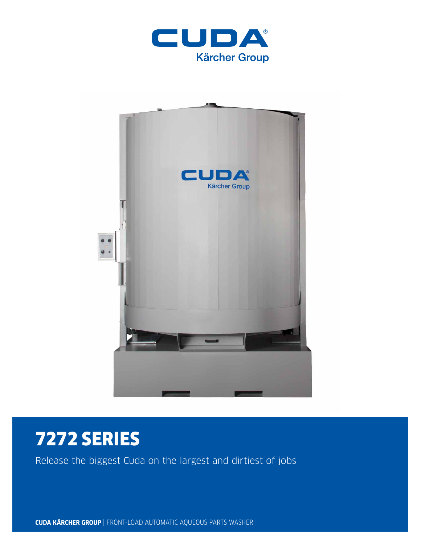



# 7272 SERIES

Release the biggest Cuda on the largest and dirtiest of jobs

**CUDA KÄRCHER GROUP** | FRONT-LOAD AUTOMATIC AQUEOUS PARTS WASHER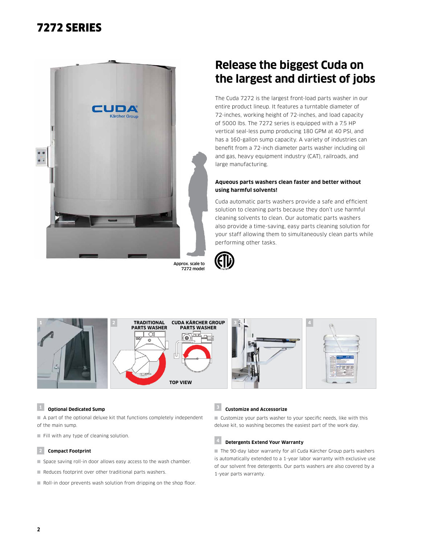# 7272 SERIES



# **Release the biggest Cuda on the largest and dirtiest of jobs**

The Cuda 7272 is the largest front-load parts washer in our entire product lineup. It features a turntable diameter of 72-inches, working height of 72-inches, and load capacity of 5000 lbs. The 7272 series is equipped with a 7.5 HP vertical seal-less pump producing 180 GPM at 40 PSI, and has a 160-gallon sump capacity. A variety of industries can benefit from a 72-inch diameter parts washer including oil and gas, heavy equipment industry (CAT), railroads, and large manufacturing.

### **Aqueous parts washers clean faster and better without using harmful solvents!**

Cuda automatic parts washers provide a safe and efficient solution to cleaning parts because they don't use harmful cleaning solvents to clean. Our automatic parts washers also provide a time-saving, easy parts cleaning solution for your staff allowing them to simultaneously clean parts while performing other tasks.



**TRADITIONAL 1 1 2 ABOUTIONAL CUDA KÄRCHER GROUP 3 3 PARTS WASHER PARTS WASHER**  $\alpha$ **O**  $\odot$ **TOP VIEW**

### **<sup>1</sup> Optional Dedicated Sump**

■ A part of the optional deluxe kit that functions completely independent of the main sump.

■ Fill with any type of cleaning solution.

#### **2 Compact Footprint**

■ Space saving roll-in door allows easy access to the wash chamber.

- Reduces footprint over other traditional parts washers.
- Roll-in door prevents wash solution from dripping on the shop floor.

### **<sup>3</sup> Customize and Accessorize**

■ Customize your parts washer to your specific needs, like with this deluxe kit, so washing becomes the easiest part of the work day.

#### **<sup>4</sup> Detergents Extend Your Warranty**

■ The 90-day labor warranty for all Cuda Kärcher Group parts washers is automatically extended to a 1-year labor warranty with exclusive use of our solvent free detergents. Our parts washers are also covered by a 1-year parts warranty.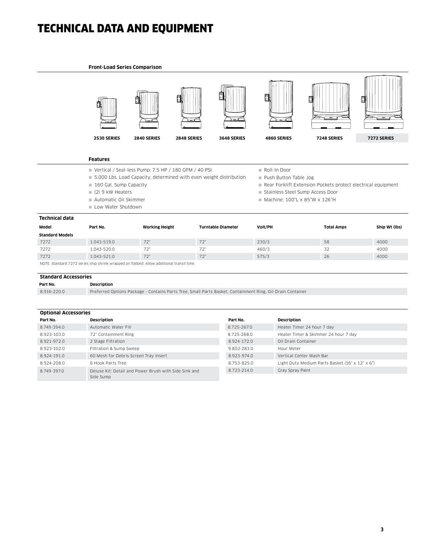# TECHNICAL DATA AND EQUIPMENT

#### **Front-Load Series Comparison**



#### **Features**

| $\blacksquare$ Vertical / Seal-less Pump: 7.5 HP / 180 GPM / 40 PSI |  |  |  |  |
|---------------------------------------------------------------------|--|--|--|--|
|                                                                     |  |  |  |  |

- 5,000 Lbs. Load Capacity, determined with even weight distribution
- 160 Gal. Sump Capacity
- $(2)$  9 kW Heaters
- Automatic Oil Skimmer
- 

Rear Forklift Extension Pockets protect electrical equipment Stainless Steel Sump Access Door

Roll-In Door Push Button Table Jog

 $M$ Machine: 100"L x 85"W x 126"H

Low Water Shutdown

| Technical data                                                                            |             |                       |                           |         |                   |               |  |
|-------------------------------------------------------------------------------------------|-------------|-----------------------|---------------------------|---------|-------------------|---------------|--|
| Model                                                                                     | Part No.    | <b>Working Height</b> | <b>Turntable Diameter</b> | Volt/PH | <b>Total Amps</b> | Ship Wt (lbs) |  |
| <b>Standard Models</b>                                                                    |             |                       |                           |         |                   |               |  |
| 7272                                                                                      | 1.043-519.0 | 72"                   | 72"                       | 230/3   | 58                | 4000          |  |
| 7272                                                                                      | 1.043-520.0 | 72"                   | 72"                       | 460/3   | 32                | 4000          |  |
| 7272                                                                                      | 1.043-521.0 | 72"                   | 72'                       | 575/3   | 26                | 4000          |  |
| NOTE: Ctandard 7373 cerior chip chrisle wrapped on flathod. Allow additional transit time |             |                       |                           |         |                   |               |  |

NOTE: Standard 7272 series ship shrink wrapped on flatbed. Allow additional transit time.

**Standard Accessories Part No. Description** 8.916-220.0 Preferred Options Package - Contains Parts Tree, Small Parts Basket, Containment Ring, Oil-Drain Container

| <b>Optional Accessories</b> |                                                                    |             |                                                 |  |  |  |
|-----------------------------|--------------------------------------------------------------------|-------------|-------------------------------------------------|--|--|--|
| Part No.                    | Description                                                        | Part No.    | <b>Description</b>                              |  |  |  |
| 8.749-394.0                 | Automatic Water Fill                                               | 8.725-267.0 | Heater Timer 24 hour 7 day                      |  |  |  |
| 8.923-103.0                 | 72" Containment Ring                                               | 8.725-268.0 | Heater Timer & Skimmer 24 hour 7 day            |  |  |  |
| 8.921-972.0                 | 2 Stage Filtration                                                 | 8.924-172.0 | Oil Drain Container                             |  |  |  |
| 8.923-102.0                 | Filtration & Sump Sweep                                            | 9.802-283.0 | Hour Meter                                      |  |  |  |
| 8.924-191.0                 | 60 Mesh for Debris Screen Tray Insert                              | 8.923-974.0 | Vertical Center Wash Bar                        |  |  |  |
| 8.924-208.0                 | 6 Hook Parts Tree                                                  | 8.753-825.0 | Light Duty Medium Parts Basket (16" x 12" x 6") |  |  |  |
| 8.749-397.0                 | Deluxe Kit: Detail and Power Brush with Side Sink and<br>Side Sump | 8.723-214.0 | Gray Spray Paint                                |  |  |  |
|                             |                                                                    |             |                                                 |  |  |  |